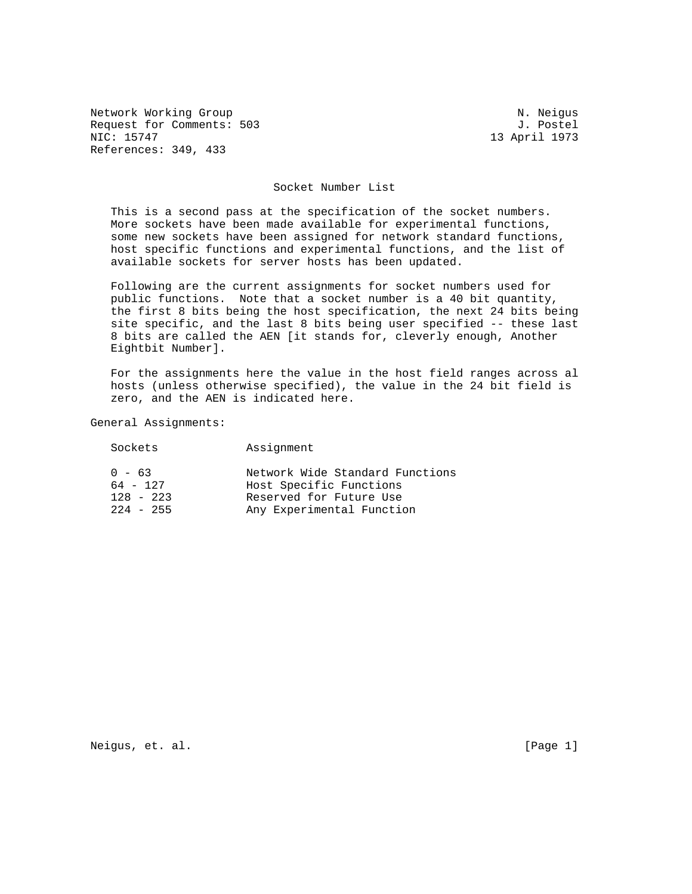Network Working Group Network Working Group Network Working Group Request for Comments: 503 J. Postel<br>NIC: 15747 13 April 1973 References: 349, 433

13 April 1973

#### Socket Number List

 This is a second pass at the specification of the socket numbers. More sockets have been made available for experimental functions, some new sockets have been assigned for network standard functions, host specific functions and experimental functions, and the list of available sockets for server hosts has been updated.

 Following are the current assignments for socket numbers used for public functions. Note that a socket number is a 40 bit quantity, the first 8 bits being the host specification, the next 24 bits being site specific, and the last 8 bits being user specified -- these last 8 bits are called the AEN [it stands for, cleverly enough, Another Eightbit Number].

 For the assignments here the value in the host field ranges across al hosts (unless otherwise specified), the value in the 24 bit field is zero, and the AEN is indicated here.

General Assignments:

| Sockets                                              | Assignment                                                                                                         |
|------------------------------------------------------|--------------------------------------------------------------------------------------------------------------------|
| $0 - 63$<br>$64 - 127$<br>$128 - 223$<br>$224 - 255$ | Network Wide Standard Functions<br>Host Specific Functions<br>Reserved for Future Use<br>Any Experimental Function |

Neigus, et. al. [Page 1]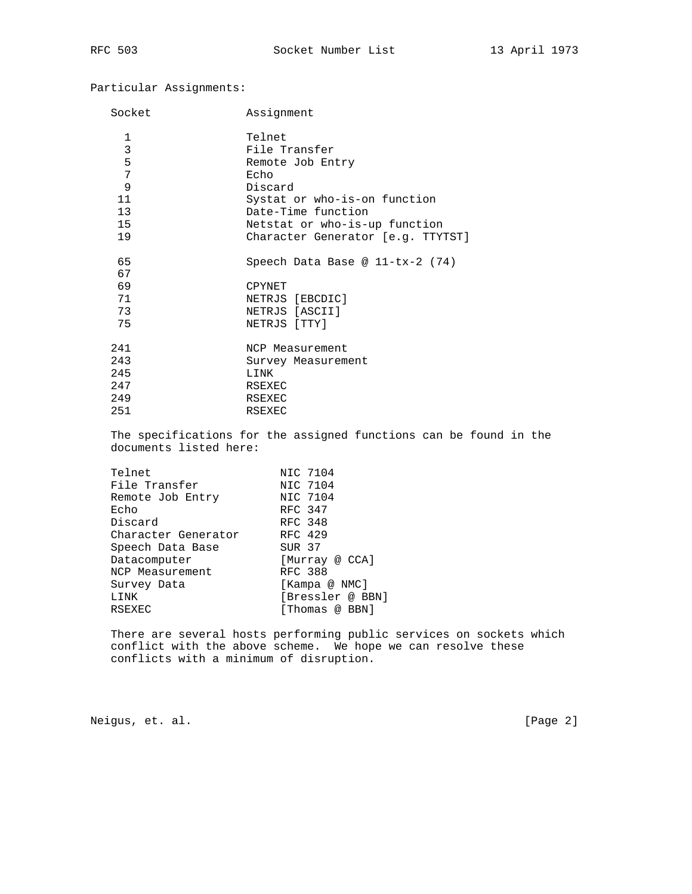Particular Assignments:

| Socket                 | Assignment                                                        |  |  |
|------------------------|-------------------------------------------------------------------|--|--|
| 1                      | Telnet                                                            |  |  |
| 3                      | File Transfer                                                     |  |  |
| 5                      | Remote Job Entry                                                  |  |  |
| 7                      | Echo                                                              |  |  |
| 9                      | Discard                                                           |  |  |
| 11                     | Systat or who-is-on function<br>Date-Time function                |  |  |
| 13                     |                                                                   |  |  |
| 15                     | Netstat or who-is-up function                                     |  |  |
| 19                     | Character Generator [e.g. TTYTST]                                 |  |  |
| 65                     | Speech Data Base @ $11-tx-2$ (74)                                 |  |  |
| 67                     |                                                                   |  |  |
| 69                     | CPYNET                                                            |  |  |
| 71                     | NETRJS [EBCDIC]                                                   |  |  |
| 73                     | NETRJS [ASCII]                                                    |  |  |
| 75                     | NETRJS [TTY]                                                      |  |  |
| 241                    | NCP Measurement                                                   |  |  |
| 243                    | Survey Measurement                                                |  |  |
| 245                    | LINK                                                              |  |  |
| 247                    | RSEXEC                                                            |  |  |
| 249                    | <b>RSEXEC</b>                                                     |  |  |
| 251                    | RSEXEC                                                            |  |  |
| documents listed here: | The specifications for the assigned functions can be found in the |  |  |
| Telnet                 | NIC 7104                                                          |  |  |
| File Transfer          | NIC 7104                                                          |  |  |
| Remote Job Entry       | NIC 7104                                                          |  |  |
| Echo                   | RFC 347                                                           |  |  |
| Discard                | <b>RFC 348</b>                                                    |  |  |
| Character Generator    | RFC 429                                                           |  |  |
| Speech Data Base       | SUR 37                                                            |  |  |
| Datacomputer           | [Murray @ CCA]                                                    |  |  |
| NCP Measurement        | <b>RFC 388</b>                                                    |  |  |
| Survey Data            | [Kampa @ NMC]                                                     |  |  |

LINK [Bressler @ BBN] RSEXEC [Thomas @ BBN] There are several hosts performing public services on sockets which conflict with the above scheme. We hope we can resolve these conflicts with a minimum of disruption.

Neigus, et. al. [Page 2]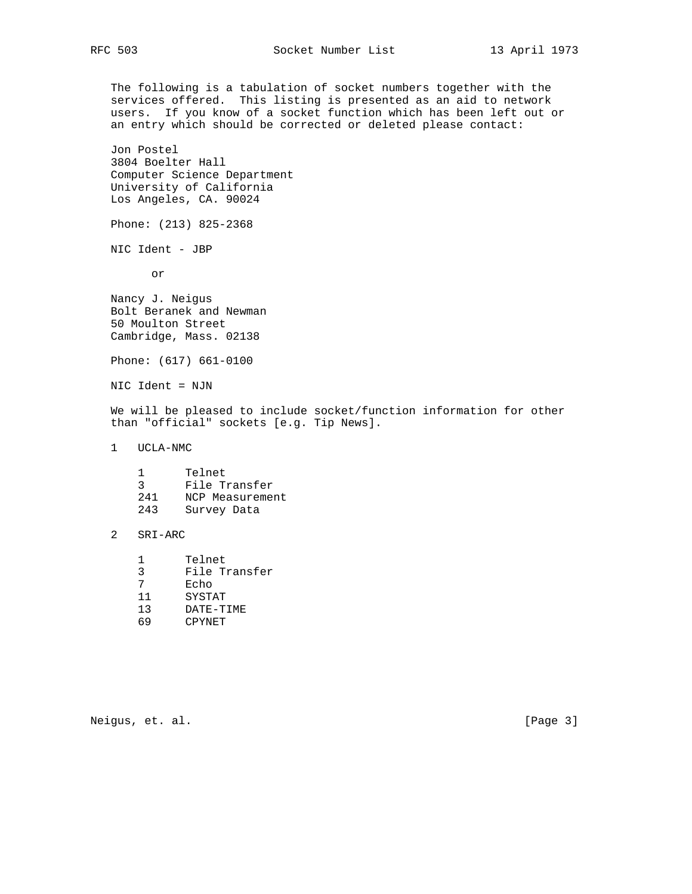The following is a tabulation of socket numbers together with the services offered. This listing is presented as an aid to network users. If you know of a socket function which has been left out or an entry which should be corrected or deleted please contact:

 Jon Postel 3804 Boelter Hall Computer Science Department University of California Los Angeles, CA. 90024

Phone: (213) 825-2368

NIC Ident - JBP

or

 Nancy J. Neigus Bolt Beranek and Newman 50 Moulton Street Cambridge, Mass. 02138

Phone: (617) 661-0100

NIC Ident = NJN

 We will be pleased to include socket/function information for other than "official" sockets [e.g. Tip News].

1 UCLA-NMC

- 3 File Transfer
- 241 NCP Measurement
- 243 Survey Data

### 2 SRI-ARC

- 1 Telnet
- 3 File Transfer
- 7 Echo
- 11 SYSTAT
- 13 DATE-TIME
- 69 CPYNET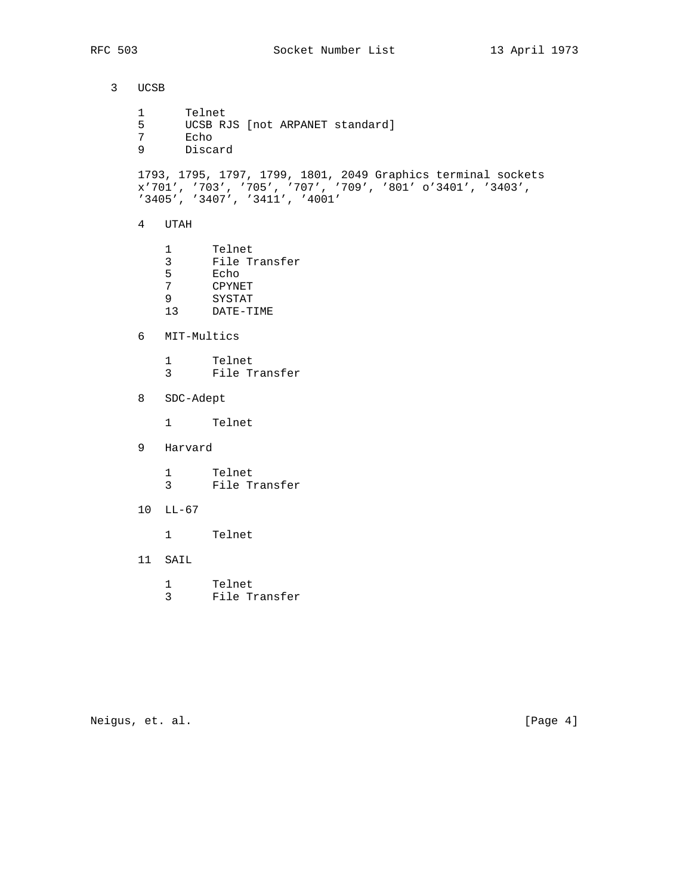3 UCSB 1 Telnet 5 UCSB RJS [not ARPANET standard]<br>7 Echo 7 Echo<br>9 Disca 9 Discard 1793, 1795, 1797, 1799, 1801, 2049 Graphics terminal sockets x'701', '703', '705', '707', '709', '801' o'3401', '3403', '3405', '3407', '3411', '4001' 4 UTAH 1 Telnet 3 File Transfer 5 Echo<br>7 CPYNE 7 CPYNET<br>9 SYSTAT 9 SYSTAT<br>13 DATE-TI DATE-TIME 6 MIT-Multics 1 Telnet 3 File Transfer 8 SDC-Adept 1 Telnet 9 Harvard 1 Telnet 3 File Transfer 10 LL-67 1 Telnet 11 SAIL 1 Telnet 3 File Transfer

Neigus, et. al. [Page 4]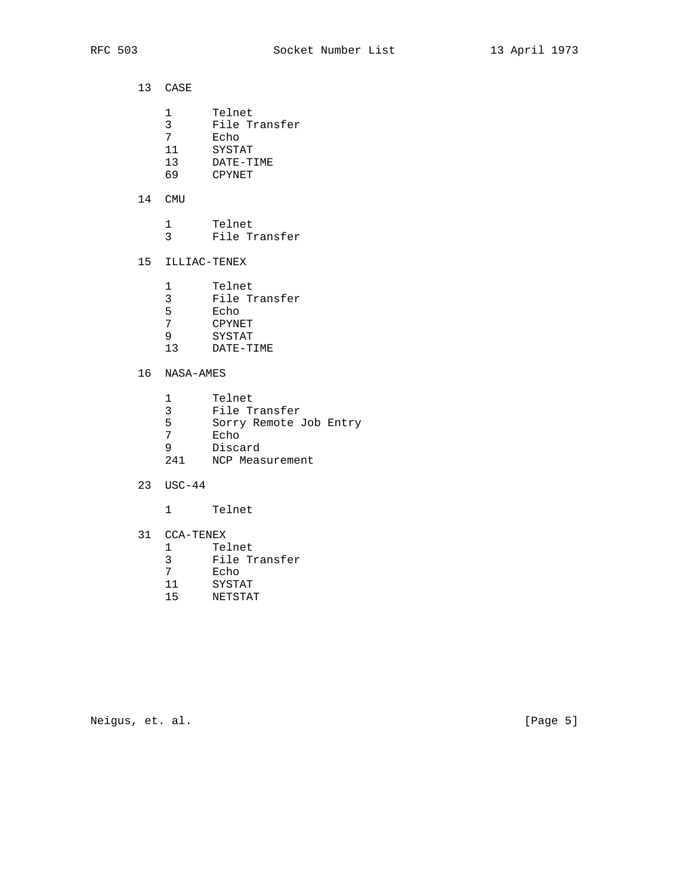- 13 CASE
- 1 Telnet
- 3 File Transfer
- 7 Echo
- 11 SYSTAT
- 13 DATE-TIME
- 69 CPYNET

### 14 CMU

 1 Telnet 3 File Transfer

# 15 ILLIAC-TENEX

- 1 Telnet
- 3 File Transfer
	- 5 Echo
- 7 CPYNET
- 9 SYSTAT
- 13 DATE-TIME

# 16 NASA-AMES

- 1 Telnet
- 3 File Transfer
- 5 Sorry Remote Job Entry<br>7 Echo
- Echo
- 9 Discard
- 241 NCP Measurement
	- 23 USC-44
		- 1 Telnet
	- 31 CCA-TENEX
- 1 Telnet
- 3 File Transfer
- 7 Echo
- 11 SYSTAT
- 15 NETSTAT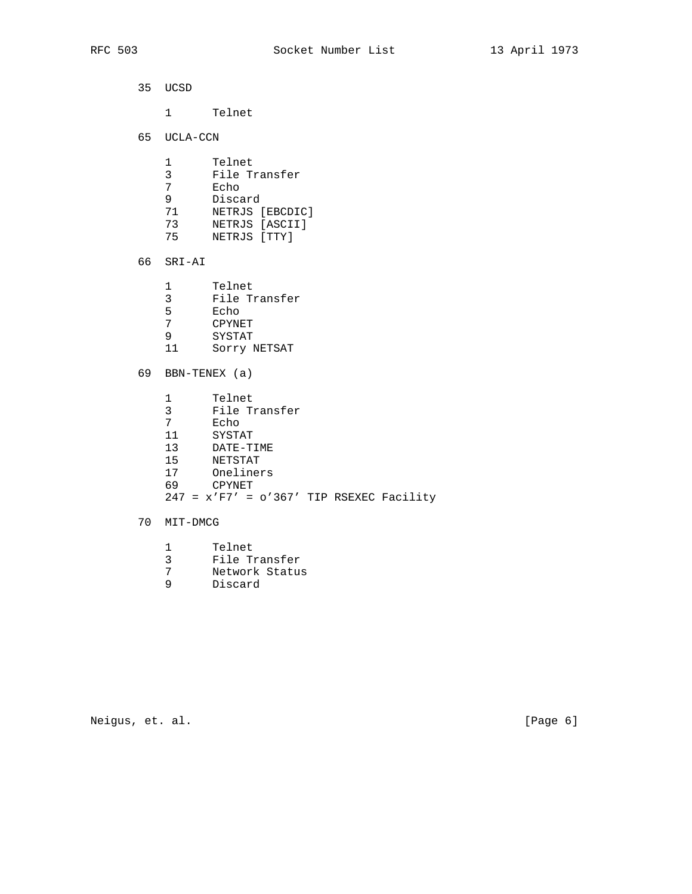|  | 35 UCSD                                                             |                                                                                                                                         |  |  |
|--|---------------------------------------------------------------------|-----------------------------------------------------------------------------------------------------------------------------------------|--|--|
|  |                                                                     | 1 Telnet                                                                                                                                |  |  |
|  | 65 UCLA-CCN                                                         |                                                                                                                                         |  |  |
|  | 1<br>$\overline{3}$<br>7 <sup>7</sup><br>9<br>71 71<br>73 — 1       | Telnet<br>File Transfer<br>Echo<br>Discard<br>NETRJS [EBCDIC]<br>NETRJS [ASCII]<br>75 NETRJS [TTY]                                      |  |  |
|  | 66 SRI-AI                                                           |                                                                                                                                         |  |  |
|  | $5^{\circ}$<br>7<br>$9^{\circ}$<br>11                               | 1 Telnet<br>3 File Transfer<br>Echo<br>CPYNET<br>SYSTAT<br>Sorry NETSAT                                                                 |  |  |
|  | 69 BBN-TENEX (a)                                                    |                                                                                                                                         |  |  |
|  | 1<br>3 <sup>7</sup><br>7 <sup>7</sup><br>11<br>13<br>15<br>17<br>69 | Telnet<br>File Transfer<br>Echo<br>SYSTAT<br>DATE-TIME<br>NETSTAT<br>Oneliners<br>CPYNET<br>$247 = x' F7' = o'367' TIP RSEXEC Facility$ |  |  |
|  | 70 MIT-DMCG                                                         |                                                                                                                                         |  |  |
|  | 1                                                                   | Telnet                                                                                                                                  |  |  |

- 3 File Transfer
- 7 Network Status
- 9 Discard

Neigus, et. al. [Page 6]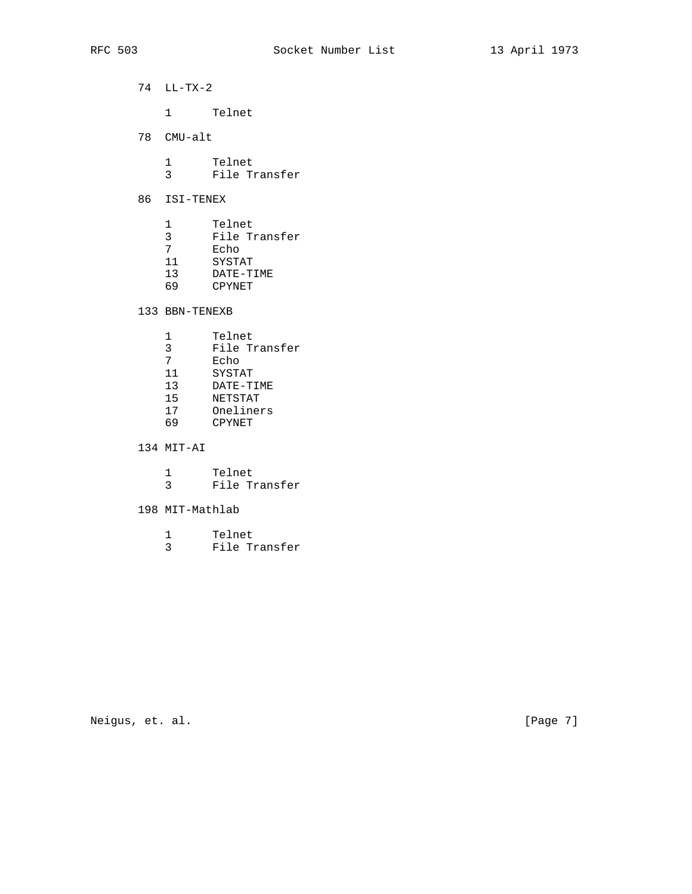74 LL-TX-2

1 Telnet

78 CMU-alt

 1 Telnet 3 File Transfer

- 86 ISI-TENEX
	- 1 Telnet<br>3 File Transfer
- 3 File Transfer
- 7 Echo
- 11 SYSTAT
- 13 DATE-TIME 69 CPYNET
	- 133 BBN-TENEXB
- 1 Telnet
- 3 File Transfer
- 7 Echo
- 11 SYSTAT
- 13 DATE-TIME
- 15 NETSTAT
- 17 Oneliners
- 69 CPYNET

134 MIT-AI

|  | Telnet |               |
|--|--------|---------------|
|  |        | File Transfer |

- 198 MIT-Mathlab
- 1 Telnet
- 3 File Transfer

Neigus, et. al. [Page 7]